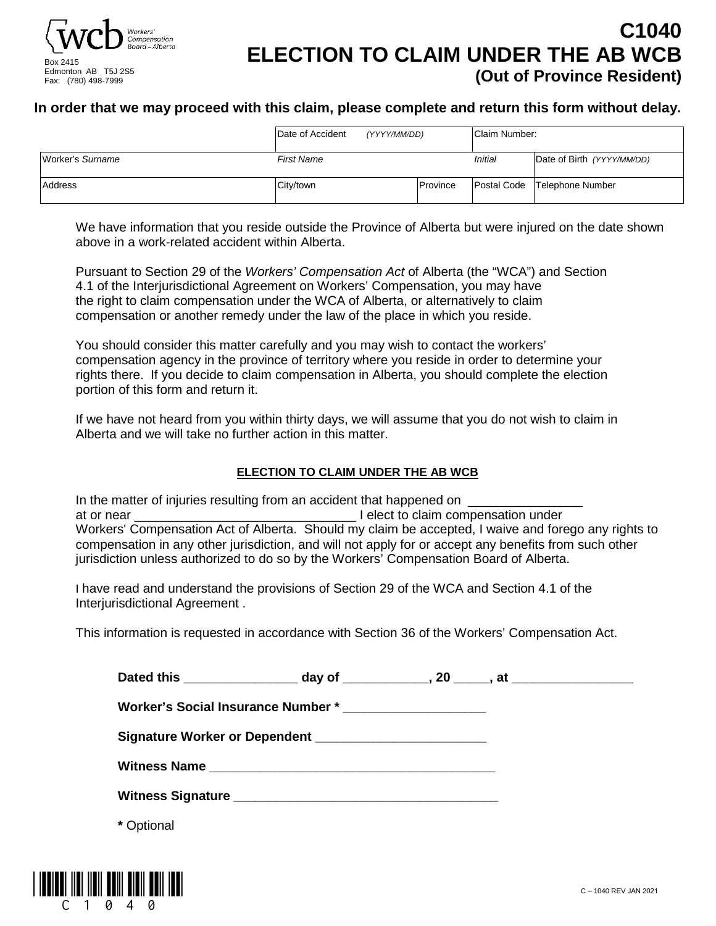

## **C1040 ELECTION TO CLAIM UNDER THE AB WCB (Out of Province Resident)**

#### **In order that we may proceed with this claim, please complete and return this form without delay.**

|                  | Date of Accident  | (YYYY/MM/DD) | Claim Number: |                                |  |
|------------------|-------------------|--------------|---------------|--------------------------------|--|
| Worker's Surname | <b>First Name</b> |              | Initial       | Date of Birth (YYYY/MM/DD)     |  |
| Address          | City/town         | Province     |               | Postal Code   Telephone Number |  |

We have information that you reside outside the Province of Alberta but were injured on the date shown above in a work-related accident within Alberta.

Pursuant to Section 29 of the *Workers' Compensation Act* of Alberta (the "WCA") and Section 4.1 of the Interjurisdictional Agreement on Workers' Compensation, you may have the right to claim compensation under the WCA of Alberta, or alternatively to claim compensation or another remedy under the law of the place in which you reside.

You should consider this matter carefully and you may wish to contact the workers' compensation agency in the province of territory where you reside in order to determine your rights there. If you decide to claim compensation in Alberta, you should complete the election portion of this form and return it.

If we have not heard from you within thirty days, we will assume that you do not wish to claim in Alberta and we will take no further action in this matter.

#### **ELECTION TO CLAIM UNDER THE AB WCB**

In the matter of injuries resulting from an accident that happened on at or near **at or near** at or near **at or**  $\alpha$  lelect to claim compensation under Workers' Compensation Act of Alberta. Should my claim be accepted, I waive and forego any rights to compensation in any other jurisdiction, and will not apply for or accept any benefits from such other jurisdiction unless authorized to do so by the Workers' Compensation Board of Alberta.

I have read and understand the provisions of Section 29 of the WCA and Section 4.1 of the Interjurisdictional Agreement .

This information is requested in accordance with Section 36 of the Workers' Compensation Act.

|            | Dated this ________________________ day of _______________, 20 ______, at _________________________ |  |  |
|------------|-----------------------------------------------------------------------------------------------------|--|--|
|            | Worker's Social Insurance Number * _______________________                                          |  |  |
|            |                                                                                                     |  |  |
|            |                                                                                                     |  |  |
|            |                                                                                                     |  |  |
| * Optional |                                                                                                     |  |  |